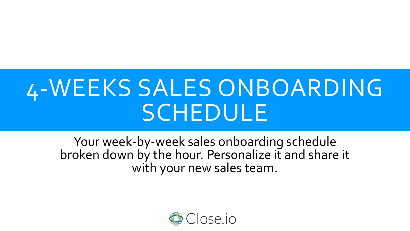# 4-WEEKS SALES ONBOARDING SCHEDULE

Your week-by-week sales onboarding schedule broken down by the hour. Personalize it and share it with your new sales team.

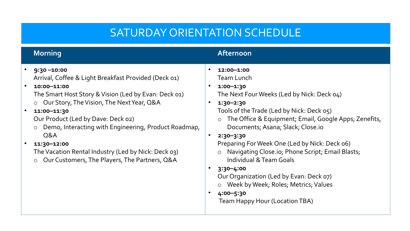#### SATURDAY ORIENTATION SCHEDULE

| <b>Morning</b>                                                                                                                                                                                                                                                                                                                                                                                                                                                                                       | Afternoon                                                                                                                                                                                                                                                                                                                                                                                                                                                                                                                                                                                                                                                                              |
|------------------------------------------------------------------------------------------------------------------------------------------------------------------------------------------------------------------------------------------------------------------------------------------------------------------------------------------------------------------------------------------------------------------------------------------------------------------------------------------------------|----------------------------------------------------------------------------------------------------------------------------------------------------------------------------------------------------------------------------------------------------------------------------------------------------------------------------------------------------------------------------------------------------------------------------------------------------------------------------------------------------------------------------------------------------------------------------------------------------------------------------------------------------------------------------------------|
| $9:30 - 10:00$<br>Arrival, Coffee & Light Breakfast Provided (Deck 01)<br>10:00-11:00<br>$\bullet$<br>The Smart Host Story & Vision (Led by Evan: Deck 01)<br>○ Our Story, The Vision, The Next Year, Q&A<br>11:00-11:30<br>$\bullet$<br>Our Product (Led by Dave: Deck o2)<br>Demo, Interacting with Engineering, Product Roadmap,<br>$\circ$<br>Q&A<br>$\bullet$<br>11:30-12:00<br>The Vacation Rental Industry (Led by Nick: Deck 03)<br>Our Customers, The Players, The Partners, Q&A<br>$\circ$ | $\bullet$<br>12:00-1:00<br><b>Team Lunch</b><br>$1:00 - 1:30$<br>$\bullet$<br>The Next Four Weeks (Led by Nick: Deck 04)<br>$1:30 - 2:30$<br>$\bullet$<br>Tools of the Trade (Led by Nick: Deck 05)<br>The Office & Equipment; Email, Google Apps; Zenefits,<br>$\circ$<br>Documents; Asana; Slack; Close.io<br>$\bullet$<br>$2:30 - 3:30$<br>Preparing For Week One (Led by Nick: Deck o6)<br>Navigating Close.io; Phone Script; Email Blasts;<br>$\circ$<br><b>Individual &amp; Team Goals</b><br>$\bullet$<br>$3:30 - 4:00$<br>Our Organization (Led by Evan: Deck 07)<br>o Week by Week; Roles; Metrics; Values<br>4:00-5:30<br>$\bullet$<br><b>Team Happy Hour (Location TBA)</b> |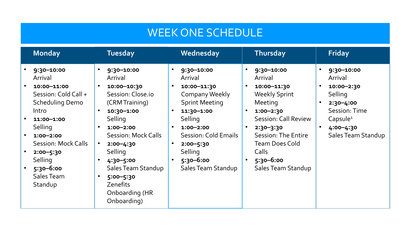#### WEEK ONE SCHEDULE

| <b>Monday</b>                                                                                                                                                                                                                                 | <b>Tuesday</b>                                                                                                                                                                                                                                                                                         | Wednesday                                                                                                                                                                                                                                                                 | Thursday                                                                                                                                                                                                                                 | <b>Friday</b>                                                                                                                                                                                   |
|-----------------------------------------------------------------------------------------------------------------------------------------------------------------------------------------------------------------------------------------------|--------------------------------------------------------------------------------------------------------------------------------------------------------------------------------------------------------------------------------------------------------------------------------------------------------|---------------------------------------------------------------------------------------------------------------------------------------------------------------------------------------------------------------------------------------------------------------------------|------------------------------------------------------------------------------------------------------------------------------------------------------------------------------------------------------------------------------------------|-------------------------------------------------------------------------------------------------------------------------------------------------------------------------------------------------|
| 9:30-10:00<br>Arrival<br>10:00-11:00<br>Session: Cold Call +<br><b>Scheduling Demo</b><br>Intro<br>11:00-1:00<br>Selling<br>$1:00 - 2:00$<br><b>Session: Mock Calls</b><br>$2:00 - 5:30$<br>Selling<br>$5:30 - 6:00$<br>Sales Team<br>Standup | 9:30-10:00<br>Arrival<br>10:00-10:30<br>$\bullet$<br>Session: Close.io<br>(CRM Training)<br>10:30-1:00<br>Selling<br>$1:00 - 2:00$<br>$\bullet$<br>Session: Mock Calls<br>$2:00 - 4:30$<br>Selling<br>4:30-5:00<br>Sales Team Standup<br>5:00-5:30<br><b>Zenefits</b><br>Onboarding (HR<br>Onboarding) | 9:30-10:00<br>$\bullet$<br>Arrival<br>10:00-11:30<br>$\bullet$<br><b>Company Weekly</b><br><b>Sprint Meeting</b><br>11:30-1:00<br>Selling<br>$1:00 - 2:00$<br><b>Session: Cold Emails</b><br>$\bullet$<br>$2:00 - 5:30$<br>Selling<br>$5:30 - 6:00$<br>Sales Team Standup | 9:30-10:00<br>Arrival<br>10:00-11:30<br><b>Weekly Sprint</b><br>Meeting<br>$1:00 - 2:30$<br><b>Session: Call Review</b><br>$2:30 - 3:30$<br>Session: The Entire<br><b>Team Does Cold</b><br>Calls<br>$5:30 - 6:00$<br>Sales Team Standup | 9:30-10:00<br>$\bullet$<br>Arrival<br>10:00-2:30<br>$\bullet$<br>Selling<br>$2:30 - 4:00$<br>$\bullet$<br>Session: Time<br>Capsule <sup>1</sup><br>4:00-4:30<br>$\bullet$<br>Sales Team Standup |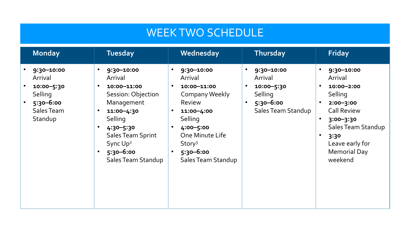#### WEEK TWO SCHEDULE

| <b>Monday</b>                                                                            | <b>Tuesday</b>                                                                                                                                                                                                         | Wednesday                                                                                                                                                                              | Thursday                                                                              | Friday                                                                                                                                                                                                                           |
|------------------------------------------------------------------------------------------|------------------------------------------------------------------------------------------------------------------------------------------------------------------------------------------------------------------------|----------------------------------------------------------------------------------------------------------------------------------------------------------------------------------------|---------------------------------------------------------------------------------------|----------------------------------------------------------------------------------------------------------------------------------------------------------------------------------------------------------------------------------|
| 9:30-10:00<br>Arrival<br>10:00-5:30<br>Selling<br>$5:30 - 6:00$<br>Sales Team<br>Standup | 9:30-10:00<br>$\bullet$<br>Arrival<br>10:00-11:00<br>Session: Objection<br>Management<br>11:00-4:30<br>Selling<br>4:30-5:30<br><b>Sales Team Sprint</b><br>Sync Up <sup>2</sup><br>$5:30 - 6:00$<br>Sales Team Standup | 9:30-10:00<br>Arrival<br>10:00-11:00<br>Company Weekly<br>Review<br>11:00-4:00<br>Selling<br>4:00-5:00<br>One Minute Life<br>Story <sup>3</sup><br>$5:30 - 6:00$<br>Sales Team Standup | 9:30-10:00<br>Arrival<br>10:00-5:30<br>Selling<br>$5:30 - 6:00$<br>Sales Team Standup | 9:30-10:00<br>Arrival<br>10:00-2:00<br>$\bullet$<br>Selling<br>$2:00 - 3:00$<br><b>Call Review</b><br>$3:00 - 3:30$<br>$\bullet$<br>Sales Team Standup<br>$\bullet$<br>3:30<br>Leave early for<br><b>Memorial Day</b><br>weekend |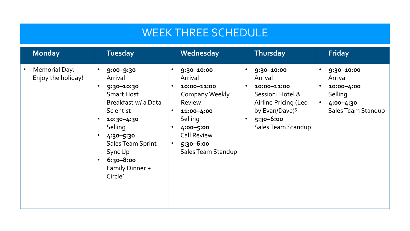#### WEEK THREE SCHEDULE

| <b>Monday</b>                       | <b>Tuesday</b>                                                                                                                                                                                                                                                             | Wednesday                                                                                                                                                                  | Thursday                                                                                                                                                                                     | <b>Friday</b>                                                                                                            |
|-------------------------------------|----------------------------------------------------------------------------------------------------------------------------------------------------------------------------------------------------------------------------------------------------------------------------|----------------------------------------------------------------------------------------------------------------------------------------------------------------------------|----------------------------------------------------------------------------------------------------------------------------------------------------------------------------------------------|--------------------------------------------------------------------------------------------------------------------------|
| Memorial Day.<br>Enjoy the holiday! | $9:00 - 9:30$<br>$\bullet$<br>Arrival<br>9:30-10:30<br>$\bullet$<br><b>Smart Host</b><br>Breakfast w/ a Data<br>Scientist<br>10:30-4:30<br>Selling<br>4:30-5:30<br><b>Sales Team Sprint</b><br>Sync Up<br>6:30-8:00<br>$\bullet$<br>Family Dinner +<br>Circle <sup>4</sup> | 9:30-10:00<br>Arrival<br>10:00-11:00<br>Company Weekly<br>Review<br>11:00-4:00<br>Selling<br>4:00-5:00<br><b>Call Review</b><br>$5:30 - 6:00$<br><b>Sales Team Standup</b> | 9:30-10:00<br>$\bullet$<br>Arrival<br>10:00-11:00<br>$\bullet$<br>Session: Hotel &<br>Airline Pricing (Led<br>by Evan/Dave) <sup>5</sup><br>$5:30 - 6:00$<br>$\bullet$<br>Sales Team Standup | 9:30-10:00<br>$\bullet$<br>Arrival<br>10:00-4:00<br>$\bullet$<br>Selling<br>$\bullet$<br>4:00-4:30<br>Sales Team Standup |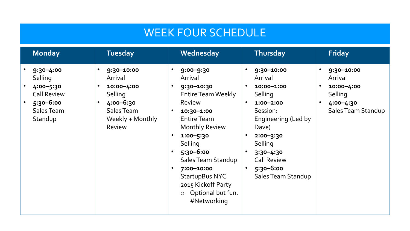### WEEK FOUR SCHEDULE

| <b>Monday</b>                                                                                         | <b>Tuesday</b>                                                                                                 | Wednesday                                                                                                                                                                                                                                                                                                               | Thursday                                                                                                                                                                                                                                                                  | <b>Friday</b>                                                                                                            |
|-------------------------------------------------------------------------------------------------------|----------------------------------------------------------------------------------------------------------------|-------------------------------------------------------------------------------------------------------------------------------------------------------------------------------------------------------------------------------------------------------------------------------------------------------------------------|---------------------------------------------------------------------------------------------------------------------------------------------------------------------------------------------------------------------------------------------------------------------------|--------------------------------------------------------------------------------------------------------------------------|
| $9:30 - 4:00$<br>Selling<br>4:00-5:30<br><b>Call Review</b><br>$5:30 - 6:00$<br>Sales Team<br>Standup | 9:30-10:00<br>Arrival<br>10:00-4:00<br>Selling<br>4:00-6:30<br>Sales Team<br>Weekly + Monthly<br><b>Review</b> | $9:00 - 9:30$<br>Arrival<br>9:30-10:30<br><b>Entire Team Weekly</b><br><b>Review</b><br>10:30-1:00<br><b>Entire Team</b><br><b>Monthly Review</b><br>$1:00 - 5:30$<br>Selling<br>$5:30 - 6:00$<br>Sales Team Standup<br>7:00-10:00<br><b>StartupBus NYC</b><br>2015 Kickoff Party<br>o Optional but fun.<br>#Networking | 9:30-10:00<br>$\bullet$<br>Arrival<br>10:00-1:00<br>Selling<br>$\bullet$<br>$1:00 - 2:00$<br>Session:<br>Engineering (Led by<br>Dave)<br>$2:00 - 3:30$<br>$\bullet$<br>Selling<br>$3:30 - 4:30$<br><b>Call Review</b><br>$5:30 - 6:00$<br>$\bullet$<br>Sales Team Standup | 9:30-10:00<br>$\bullet$<br>Arrival<br>10:00-4:00<br>$\bullet$<br>Selling<br>4:00-4:30<br>$\bullet$<br>Sales Team Standup |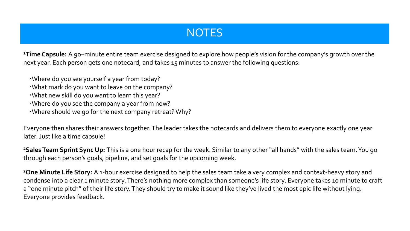#### **NOTES**

**<sup>1</sup>Time Capsule:** A 90–minute entire team exercise designed to explore how people's vision for the company's growth over the next year. Each person gets one notecard, and takes 15 minutes to answer the following questions:

- Where do you see yourself a year from today?
- What mark do you want to leave on the company?
- What new skill do you want to learn this year?
- Where do you see the company a year from now?
- Where should we go for the next company retreat? Why?

Everyone then shares their answers together. The leader takes the notecards and delivers them to everyone exactly one year later. Just like a time capsule!

**<sup>2</sup>Sales Team Sprint Sync Up:** This is a one hour recap for the week. Similar to any other "all hands" with the sales team. You go through each person's goals, pipeline, and set goals for the upcoming week.

**<sup>3</sup>One Minute Life Story:** A 1-hour exercise designed to help the sales team take a very complex and context-heavy story and condense into a clear 1 minute story. There's nothing more complex than someone's life story. Everyone takes 10 minute to craft a "one minute pitch" of their life story. They should try to make it sound like they've lived the most epic life without lying. Everyone provides feedback.